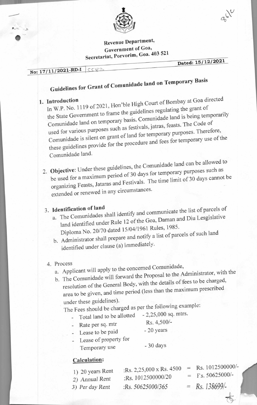

## **Revenue Department, Government of Goa, Secretariat, Porvorim, Goa. 403 521**

**Dated: 15/12/2021** 

# **No: 17/11/2021-RD-I**

**I FRP** 

ि<br>●

### **Guidelines for Grant of**  Comunidade land on Temporary Basis

**1. Introduction In 1119 of 2021**, Hon'ble High Court of Bombay at Goa directed the State Government to frame the guidelines regulating the grant of grant of temporarily Comunidade land on temporary basis. Comunidade land is being used for various purposes such as festivals, jatras, feasts. The Code of Comunidade is silent on grant of land for temporary purposes. Therefore, comunidade is silent on grant of land for temporary use of the these guidelines provide for the procedure and fees for temporary use of the Comunidade land.

2. **Objective:**   $U_{\text{R}}$  der these guidelines, the Comunidade land can be allowed to be used for a maximum period of 30 days for temporary purposes such as organizing Feasts, Jataras and Festivals. The time limit of 30 days cannot be extended or renewed in any circumstances.

## 3. **Identification of land**

- e Comunidades shall identify and communicate the list of parcels of a. The Comunidades shall fuently and come Daman and Diu Lesgislative land identified under Rule 12 of the Goa, 1961 Rules, 1985. mizing Feasts, Jataras and Festivals. The time main<br>ended or renewed in any circumstances.<br> **ntification of land**<br>
The Comunidades shall identify and communicate<br>
land identified under Rule 12 of the Goa, Daman a<br>
Diploma
- b. A dministrator shall prepare and notify a list of parcels of such land identified under clause (a) immediately.

## 4. Process

- a. Applicant will apply to the concerned Comunidade,
- $T_{\text{the}}$  Comunidade will forward the Proposal to the Administrator, with the  $T_{\text{the}}$

b. resolution of the General Body, with the details of fees to be charged, area to be given, and time period (less than the maximum prescribed under these guidelines).

The Fees should be charged as per the following example:<br>Total land to be allotted - 2,25,000 sq. mtrs.

- Total land to be allotted  $-2,25,000$  sq. mtrs.
	-
- Rate per sq. mtr<br>
Rs. 4,500/-<br>
Loose to be paid 20 years - Lease to be paid
- Lease of property for Temporary use - 30 days

## Calculation:

- 1) 20 years Rent :Rs. 2,25,000 x Rs. 4500 = Rs. 1012500000/-<br>  $\frac{10^{12} \text{ m/s}}{1012500000} = \frac{1012500000}{500000} = \frac{101250000}{500000} = \frac{101250000}{500000} = \frac{101250000}{500000} = \frac{101250000}{500000} = \frac{101250000}{500000} = \frac{$ *2)* Annual Rent :Rs. 1012500000/20 = Fs. 5062500<br>3) Per day Rent :Rs. 50625000/365 = Rs. 138699/-
- *3*) Per day Rent :Rs. 50625000/365
-